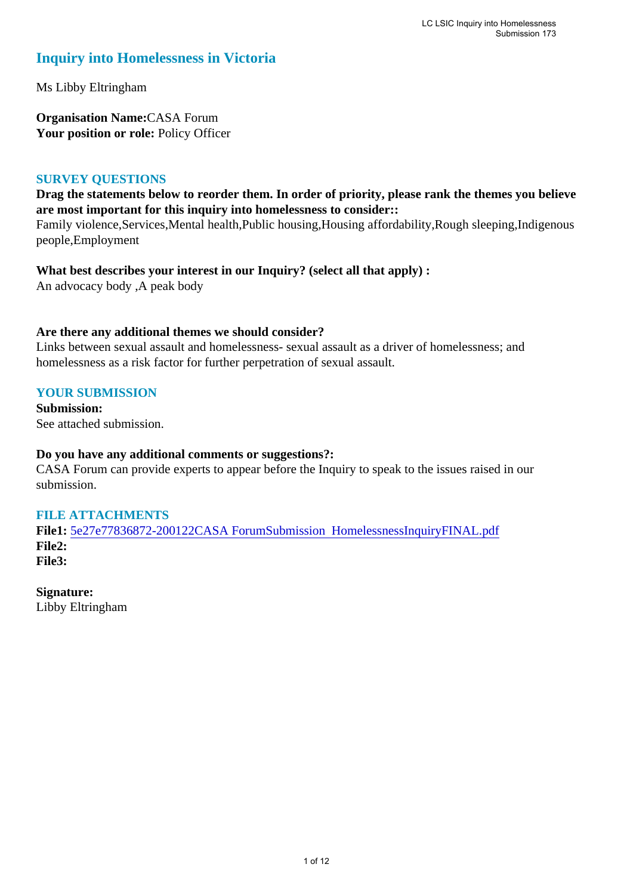## **Inquiry into Homelessness in Victoria**

Ms Libby Eltringham

**Organisation Name:**CASA Forum Your position or role: Policy Officer

#### **SURVEY QUESTIONS**

**Drag the statements below to reorder them. In order of priority, please rank the themes you believe are most important for this inquiry into homelessness to consider::** 

Family violence,Services,Mental health,Public housing,Housing affordability,Rough sleeping,Indigenous people,Employment

**What best describes your interest in our Inquiry? (select all that apply) :** 

An advocacy body ,A peak body

#### **Are there any additional themes we should consider?**

Links between sexual assault and homelessness- sexual assault as a driver of homelessness; and homelessness as a risk factor for further perpetration of sexual assault.

#### **YOUR SUBMISSION**

**Submission:**  See attached submission.

#### **Do you have any additional comments or suggestions?:**

CASA Forum can provide experts to appear before the Inquiry to speak to the issues raised in our submission.

#### **FILE ATTACHMENTS**

**File1:** [5e27e77836872-200122CASA ForumSubmission HomelessnessInquiryFINAL.pdf](https://www.parliament.vic.gov.au/component/rsform/submission-view-file/f81c6dcb1a38d86ad17cbb337798ae20/460d0253b9d01048a17fcdccb23df386?Itemid=463) **File2: File3:** 

**Signature:** Libby Eltringham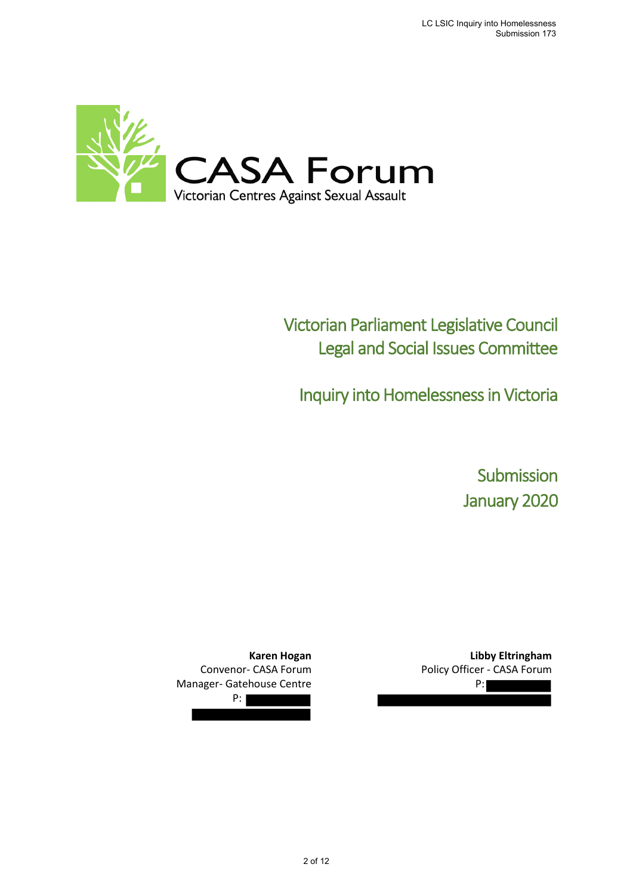

# Victorian Parliament Legislative Council Legal and Social Issues Committee

Inquiry into Homelessness in Victoria

Submission January 2020

**Karen Hogan** Convenor- CASA Forum Manager- Gatehouse Centre

P:

**Libby Eltringham** Policy Officer - CASA Forum P: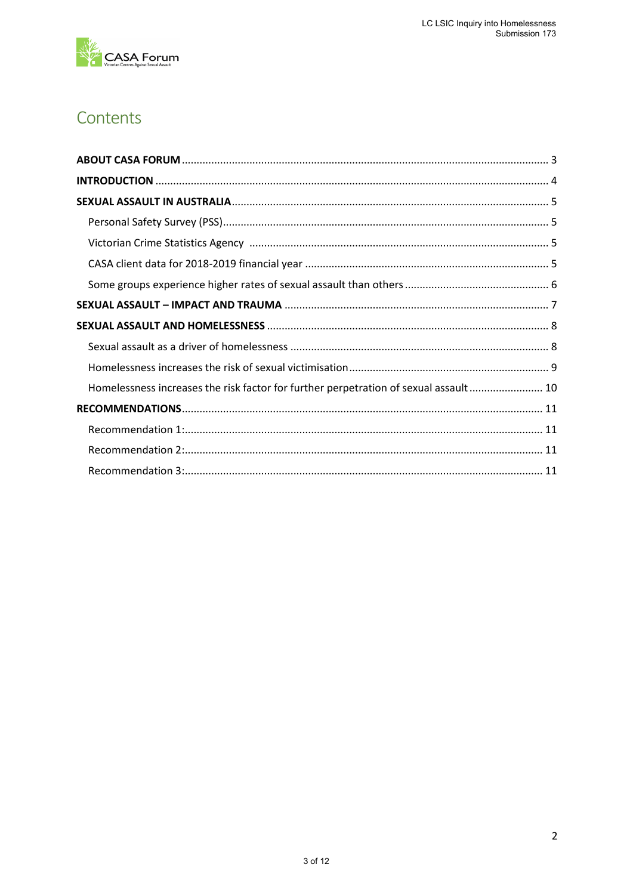

## Contents

| Homelessness increases the risk factor for further perpetration of sexual assault 10 |  |
|--------------------------------------------------------------------------------------|--|
|                                                                                      |  |
|                                                                                      |  |
|                                                                                      |  |
|                                                                                      |  |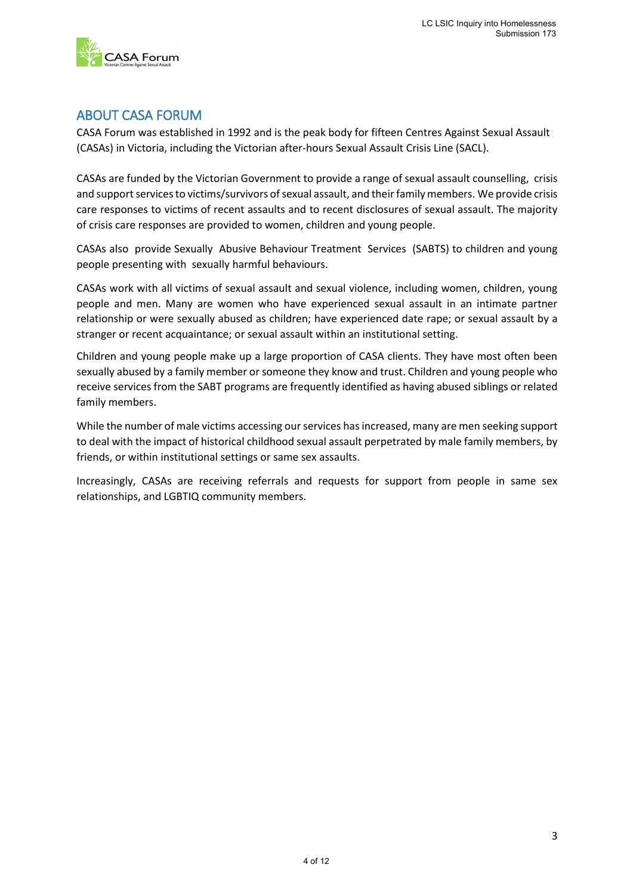

## <span id="page-3-0"></span>ABOUT CASA FORUM

CASA Forum was established in 1992 and is the peak body for fifteen Centres Against Sexual Assault (CASAs) in Victoria, including the Victorian after-hours Sexual Assault Crisis Line (SACL).

CASAs are funded by the Victorian Government to provide a range of sexual assault counselling, crisis and support services to victims/survivors of sexual assault, and their family members. We provide crisis care responses to victims of recent assaults and to recent disclosures of sexual assault. The majority of crisis care responses are provided to women, children and young people.

CASAs also provide Sexually Abusive Behaviour Treatment Services (SABTS) to children and young people presenting with sexually harmful behaviours.

CASAs work with all victims of sexual assault and sexual violence, including women, children, young people and men. Many are women who have experienced sexual assault in an intimate partner relationship or were sexually abused as children; have experienced date rape; or sexual assault by a stranger or recent acquaintance; or sexual assault within an institutional setting.

Children and young people make up a large proportion of CASA clients. They have most often been sexually abused by a family member or someone they know and trust. Children and young people who receive services from the SABT programs are frequently identified as having abused siblings or related family members.

While the number of male victims accessing our services has increased, many are men seeking support to deal with the impact of historical childhood sexual assault perpetrated by male family members, by friends, or within institutional settings or same sex assaults.

Increasingly, CASAs are receiving referrals and requests for support from people in same sex relationships, and LGBTIQ community members.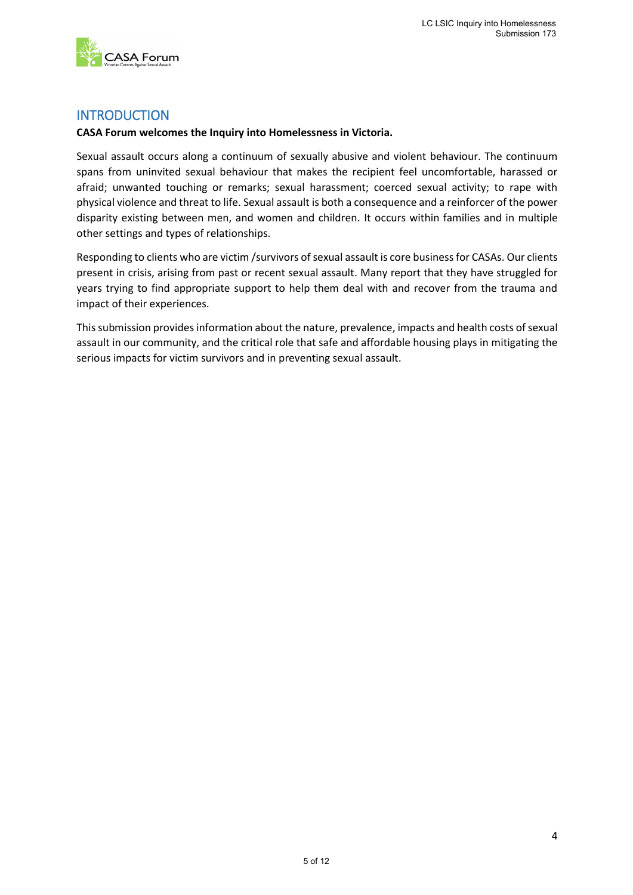

## <span id="page-4-0"></span>**INTRODUCTION**

#### **CASA Forum welcomes the Inquiry into Homelessness in Victoria.**

Sexual assault occurs along a continuum of sexually abusive and violent behaviour. The continuum spans from uninvited sexual behaviour that makes the recipient feel uncomfortable, harassed or afraid; unwanted touching or remarks; sexual harassment; coerced sexual activity; to rape with physical violence and threat to life. Sexual assault is both a consequence and a reinforcer of the power disparity existing between men, and women and children. It occurs within families and in multiple other settings and types of relationships.

Responding to clients who are victim /survivors of sexual assault is core business for CASAs. Our clients present in crisis, arising from past or recent sexual assault. Many report that they have struggled for years trying to find appropriate support to help them deal with and recover from the trauma and impact of their experiences.

This submission provides information about the nature, prevalence, impacts and health costs of sexual assault in our community, and the critical role that safe and affordable housing plays in mitigating the serious impacts for victim survivors and in preventing sexual assault.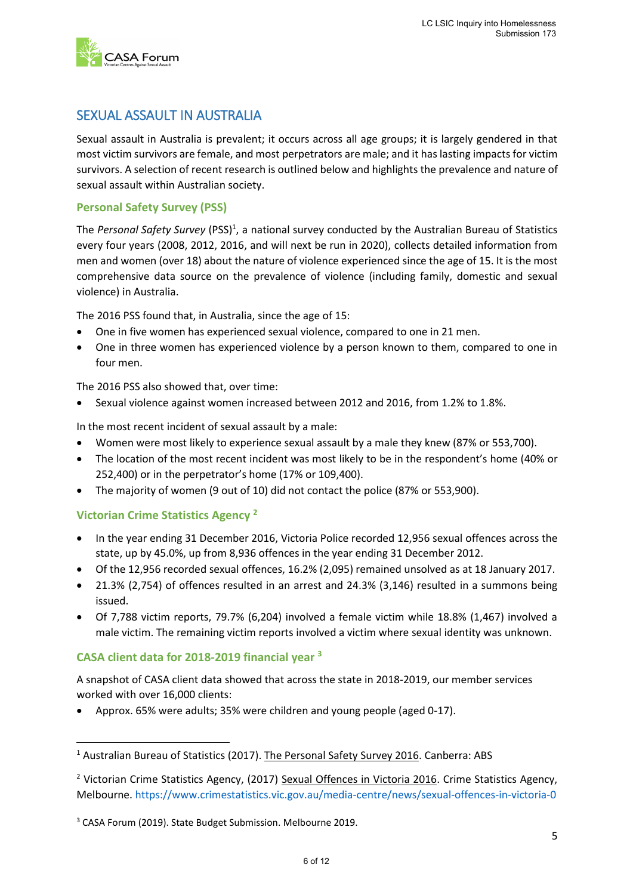

## <span id="page-5-0"></span>SEXUAL ASSAULT IN AUSTRALIA

Sexual assault in Australia is prevalent; it occurs across all age groups; it is largely gendered in that most victim survivors are female, and most perpetrators are male; and it has lasting impacts for victim survivors. A selection of recent research is outlined below and highlights the prevalence and nature of sexual assault within Australian society.

#### <span id="page-5-1"></span>**Personal Safety Survey (PSS)**

The Personal Safety Survey (PSS)<sup>1</sup>, a national survey conducted by the Australian Bureau of Statistics every four years (2008, 2012, 2016, and will next be run in 2020), collects detailed information from men and women (over 18) about the nature of violence experienced since the age of 15. It is the most comprehensive data source on the prevalence of violence (including family, domestic and sexual violence) in Australia.

The 2016 PSS found that, in Australia, since the age of 15:

- One in five women has experienced sexual violence, compared to one in 21 men.
- One in three women has experienced violence by a person known to them, compared to one in four men.

The 2016 PSS also showed that, over time:

• Sexual violence against women increased between 2012 and 2016, from 1.2% to 1.8%.

In the most recent incident of sexual assault by a male:

- Women were most likely to experience sexual assault by a male they knew (87% or 553,700).
- The location of the most recent incident was most likely to be in the respondent's home (40% or 252,400) or in the perpetrator's home (17% or 109,400).
- The majority of women (9 out of 10) did not contact the police (87% or 553,900).

#### <span id="page-5-2"></span>**Victorian Crime Statistics Agency <sup>2</sup>**

1

- In the year ending 31 December 2016, Victoria Police recorded 12,956 sexual offences across the state, up by 45.0%, up from 8,936 offences in the year ending 31 December 2012.
- Of the 12,956 recorded sexual offences, 16.2% (2,095) remained unsolved as at 18 January 2017.
- 21.3% (2,754) of offences resulted in an arrest and 24.3% (3,146) resulted in a summons being issued.
- Of 7,788 victim reports, 79.7% (6,204) involved a female victim while 18.8% (1,467) involved a male victim. The remaining victim reports involved a victim where sexual identity was unknown.

#### <span id="page-5-3"></span>**CASA client data for 2018-2019 financial year <sup>3</sup>**

A snapshot of CASA client data showed that across the state in 2018-2019, our member services worked with over 16,000 clients:

• Approx. 65% were adults; 35% were children and young people (aged 0-17).

<sup>1</sup> Australian Bureau of Statistics (2017). The Personal Safety Survey 2016. Canberra: ABS

<sup>&</sup>lt;sup>2</sup> Victorian Crime Statistics Agency, (2017) Sexual Offences in Victoria 2016. Crime Statistics Agency, Melbourne.<https://www.crimestatistics.vic.gov.au/media-centre/news/sexual-offences-in-victoria-0>

<sup>3</sup> CASA Forum (2019). State Budget Submission. Melbourne 2019.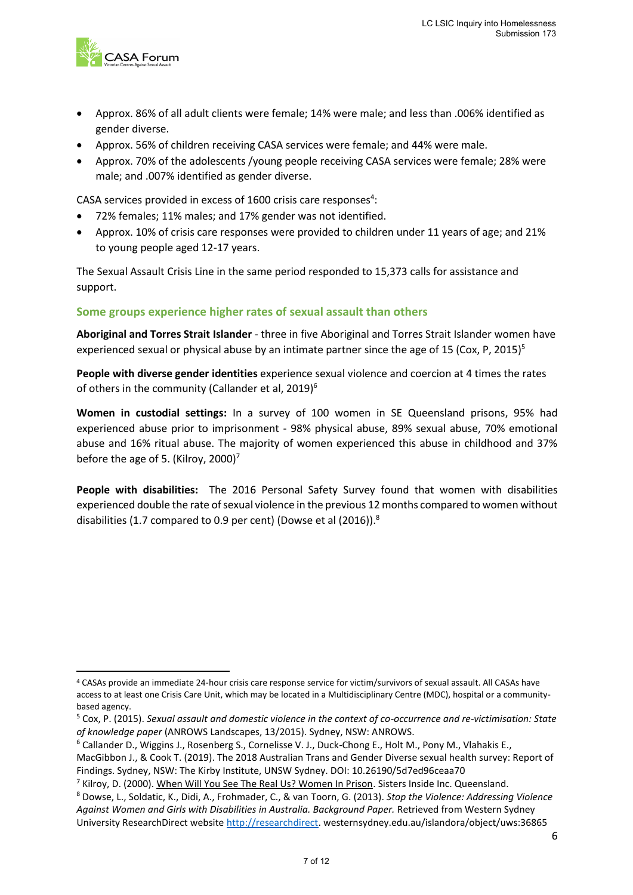

**.** 

- Approx. 86% of all adult clients were female; 14% were male; and less than .006% identified as gender diverse.
- Approx. 56% of children receiving CASA services were female; and 44% were male.
- Approx. 70% of the adolescents /young people receiving CASA services were female; 28% were male; and .007% identified as gender diverse.

CASA services provided in excess of 1600 crisis care responses<sup>4</sup>:

- 72% females; 11% males; and 17% gender was not identified.
- Approx. 10% of crisis care responses were provided to children under 11 years of age; and 21% to young people aged 12-17 years.

The Sexual Assault Crisis Line in the same period responded to 15,373 calls for assistance and support.

#### <span id="page-6-0"></span>**Some groups experience higher rates of sexual assault than others**

**Aboriginal and Torres Strait Islander** - three in five Aboriginal and Torres Strait Islander women have experienced sexual or physical abuse by an intimate partner since the age of 15 (Cox, P, 2015)<sup>5</sup>

**People with diverse gender identities** experience sexual violence and coercion at 4 times the rates of others in the community (Callander et al, 2019)<sup>6</sup>

**Women in custodial settings:** In a survey of 100 women in SE Queensland prisons, 95% had experienced abuse prior to imprisonment - 98% physical abuse, 89% sexual abuse, 70% emotional abuse and 16% ritual abuse. The majority of women experienced this abuse in childhood and 37% before the age of 5. (Kilroy, 2000)<sup>7</sup>

**People with disabilities:** The 2016 Personal Safety Survey found that women with disabilities experienced double the rate of sexual violence in the previous 12 months compared to women without disabilities (1.7 compared to 0.9 per cent) (Dowse et al (2016)).<sup>8</sup>

<sup>4</sup> CASAs provide an immediate 24-hour crisis care response service for victim/survivors of sexual assault. All CASAs have access to at least one Crisis Care Unit, which may be located in a Multidisciplinary Centre (MDC), hospital or a communitybased agency.

<sup>5</sup> Cox, P. (2015). *Sexual assault and domestic violence in the context of co-occurrence and re-victimisation: State of knowledge paper* (ANROWS Landscapes, 13/2015). Sydney, NSW: ANROWS.

<sup>6</sup> Callander D., Wiggins J., Rosenberg S., Cornelisse V. J., Duck-Chong E., Holt M., Pony M., Vlahakis E., MacGibbon J., & Cook T. (2019). The 2018 Australian Trans and Gender Diverse sexual health survey: Report of Findings. Sydney, NSW: The Kirby Institute, UNSW Sydney. DOI: 10.26190/5d7ed96ceaa70

<sup>7</sup> Kilroy, D. (2000). When Will You See The Real Us? Women In Prison. Sisters Inside Inc. Queensland.

<sup>8</sup> Dowse, L., Soldatic, K., Didi, A., Frohmader, C., & van Toorn, G. (2013). *Stop the Violence: Addressing Violence Against Women and Girls with Disabilities in Australia. Background Paper.* Retrieved from Western Sydney University ResearchDirect website [http://researchdirect.](http://researchdirect/) westernsydney.edu.au/islandora/object/uws:36865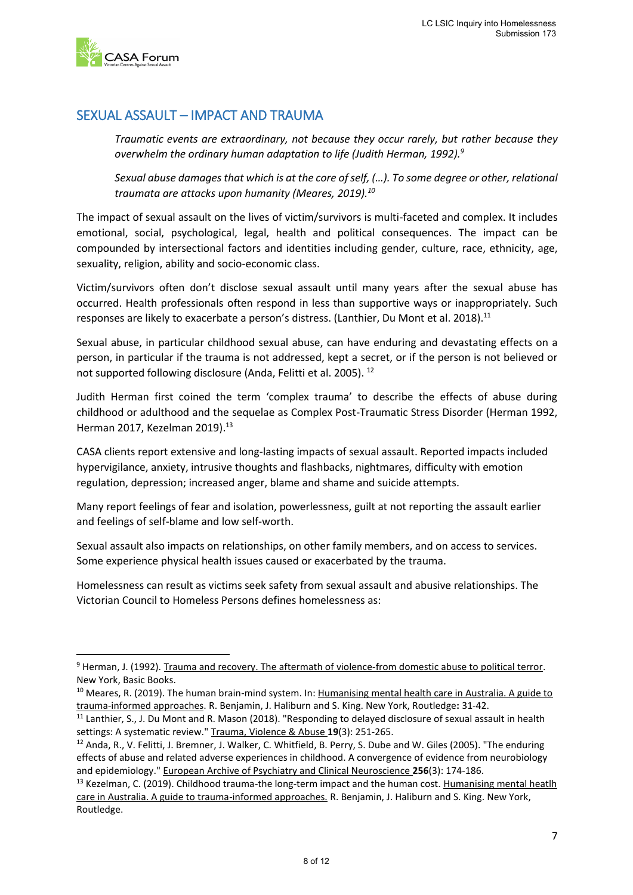

1

## <span id="page-7-0"></span>SEXUAL ASSAULT – IMPACT AND TRAUMA

*Traumatic events are extraordinary, not because they occur rarely, but rather because they overwhelm the ordinary human adaptation to life (Judith Herman, 1992).<sup>9</sup>*

*Sexual abuse damages that which is at the core of self, (…). To some degree or other, relational traumata are attacks upon humanity (Meares, 2019).<sup>10</sup>*

The impact of sexual assault on the lives of victim/survivors is multi-faceted and complex. It includes emotional, social, psychological, legal, health and political consequences. The impact can be compounded by intersectional factors and identities including gender, culture, race, ethnicity, age, sexuality, religion, ability and socio-economic class.

Victim/survivors often don't disclose sexual assault until many years after the sexual abuse has occurred. Health professionals often respond in less than supportive ways or inappropriately. Such responses are likely to exacerbate a person's distress. (Lanthier, Du Mont et al. 2018).<sup>11</sup>

Sexual abuse, in particular childhood sexual abuse, can have enduring and devastating effects on a person, in particular if the trauma is not addressed, kept a secret, or if the person is not believed or not supported following disclosure (Anda, Felitti et al. 2005). <sup>12</sup>

Judith Herman first coined the term 'complex trauma' to describe the effects of abuse during childhood or adulthood and the sequelae as Complex Post-Traumatic Stress Disorder (Herman 1992, Herman 2017, Kezelman 2019). 13

CASA clients report extensive and long-lasting impacts of sexual assault. Reported impacts included hypervigilance, anxiety, intrusive thoughts and flashbacks, nightmares, difficulty with emotion regulation, depression; increased anger, blame and shame and suicide attempts.

Many report feelings of fear and isolation, powerlessness, guilt at not reporting the assault earlier and feelings of self-blame and low self-worth.

Sexual assault also impacts on relationships, on other family members, and on access to services. Some experience physical health issues caused or exacerbated by the trauma.

Homelessness can result as victims seek safety from sexual assault and abusive relationships. The Victorian Council to Homeless Persons defines homelessness as:

<sup>&</sup>lt;sup>9</sup> Herman, J. (1992). Trauma and recovery. The aftermath of violence-from domestic abuse to political terror. New York, Basic Books.

<sup>&</sup>lt;sup>10</sup> Meares, R. (2019). The human brain-mind system. In: Humanising mental health care in Australia. A guide to trauma-informed approaches. R. Benjamin, J. Haliburn and S. King. New York, Routledge**:** 31-42.

<sup>&</sup>lt;sup>11</sup> Lanthier, S., J. Du Mont and R. Mason (2018). "Responding to delayed disclosure of sexual assault in health settings: A systematic review." Trauma, Violence & Abuse **19**(3): 251-265.

<sup>&</sup>lt;sup>12</sup> Anda, R., V. Felitti, J. Bremner, J. Walker, C. Whitfield, B. Perry, S. Dube and W. Giles (2005). "The enduring effects of abuse and related adverse experiences in childhood. A convergence of evidence from neurobiology and epidemiology." European Archive of Psychiatry and Clinical Neuroscience **256**(3): 174-186.

<sup>&</sup>lt;sup>13</sup> Kezelman, C. (2019). Childhood trauma-the long-term impact and the human cost. Humanising mental heatlh care in Australia. A guide to trauma-informed approaches. R. Benjamin, J. Haliburn and S. King. New York, Routledge.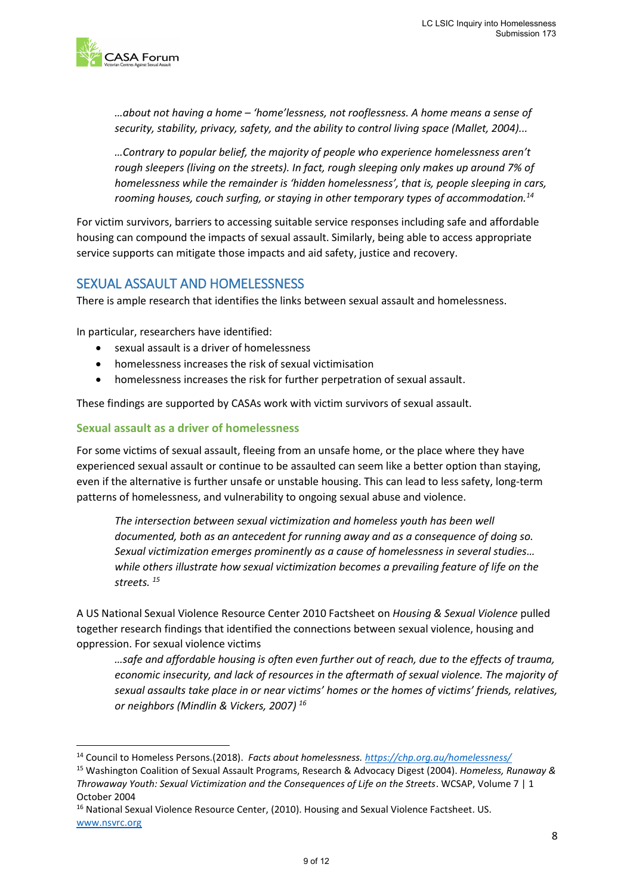

*…about not having a home – 'home'lessness, not rooflessness. A home means a sense of security, stability, privacy, safety, and the ability to control living space (Mallet, 2004)...* 

*…Contrary to popular belief, the majority of people who experience homelessness aren't rough sleepers (living on the streets). In fact, rough sleeping only makes up around 7% of homelessness while the remainder is 'hidden homelessness', that is, people sleeping in cars, rooming houses, couch surfing, or staying in other temporary types of accommodation.<sup>14</sup>*

For victim survivors, barriers to accessing suitable service responses including safe and affordable housing can compound the impacts of sexual assault. Similarly, being able to access appropriate service supports can mitigate those impacts and aid safety, justice and recovery.

### <span id="page-8-0"></span>SEXUAL ASSAULT AND HOMELESSNESS

There is ample research that identifies the links between sexual assault and homelessness.

In particular, researchers have identified:

- sexual assault is a driver of homelessness
- homelessness increases the risk of sexual victimisation
- homelessness increases the risk for further perpetration of sexual assault.

These findings are supported by CASAs work with victim survivors of sexual assault.

#### <span id="page-8-1"></span>**Sexual assault as a driver of homelessness**

1

For some victims of sexual assault, fleeing from an unsafe home, or the place where they have experienced sexual assault or continue to be assaulted can seem like a better option than staying, even if the alternative is further unsafe or unstable housing. This can lead to less safety, long-term patterns of homelessness, and vulnerability to ongoing sexual abuse and violence.

*The intersection between sexual victimization and homeless youth has been well documented, both as an antecedent for running away and as a consequence of doing so. Sexual victimization emerges prominently as a cause of homelessness in several studies… while others illustrate how sexual victimization becomes a prevailing feature of life on the streets. <sup>15</sup>*

A US National Sexual Violence Resource Center 2010 Factsheet on *Housing & Sexual Violence* pulled together research findings that identified the connections between sexual violence, housing and oppression. For sexual violence victims

*…safe and affordable housing is often even further out of reach, due to the effects of trauma, economic insecurity, and lack of resources in the aftermath of sexual violence. The majority of sexual assaults take place in or near victims' homes or the homes of victims' friends, relatives, or neighbors (Mindlin & Vickers, 2007) <sup>16</sup>*

<sup>14</sup> Council to Homeless Persons.(2018). *Facts about homelessness[. https://chp.org.au/homelessness/](https://chp.org.au/homelessness/)*

<sup>15</sup> Washington Coalition of Sexual Assault Programs, Research & Advocacy Digest (2004). *Homeless, Runaway & Throwaway Youth: Sexual Victimization and the Consequences of Life on the Streets*. WCSAP, Volume 7 | 1 October 2004

<sup>&</sup>lt;sup>16</sup> National Sexual Violence Resource Center, (2010). Housing and Sexual Violence Factsheet. US. [www.nsvrc.org](http://www.nsvrc.org/)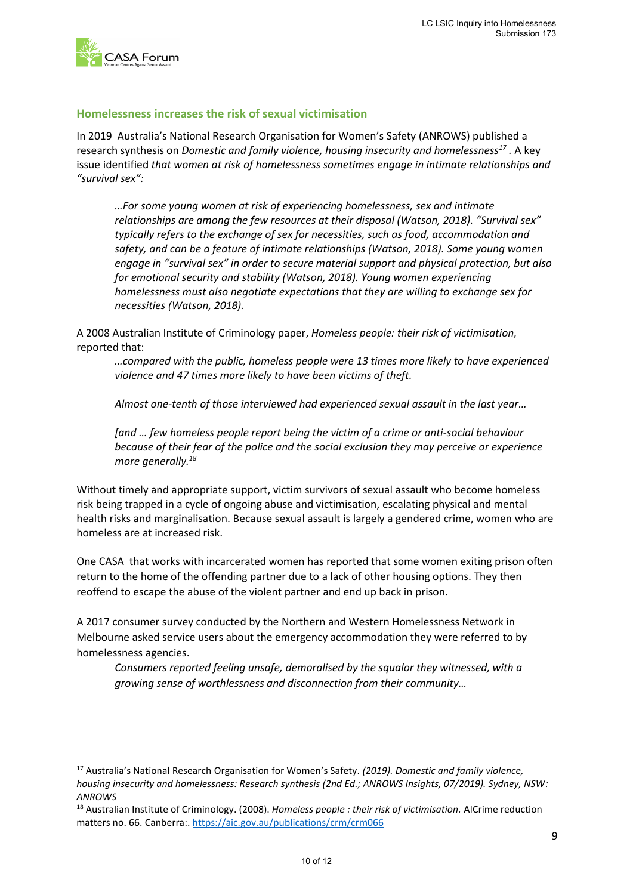

**.** 

#### <span id="page-9-0"></span>**Homelessness increases the risk of sexual victimisation**

In 2019 Australia's National Research Organisation for Women's Safety (ANROWS) published a research synthesis on *Domestic and family violence, housing insecurity and homelessness<sup>17</sup> .* A key issue identified *that women at risk of homelessness sometimes engage in intimate relationships and "survival sex":* 

*…For some young women at risk of experiencing homelessness, sex and intimate relationships are among the few resources at their disposal (Watson, 2018). "Survival sex" typically refers to the exchange of sex for necessities, such as food, accommodation and safety, and can be a feature of intimate relationships (Watson, 2018). Some young women engage in "survival sex" in order to secure material support and physical protection, but also for emotional security and stability (Watson, 2018). Young women experiencing homelessness must also negotiate expectations that they are willing to exchange sex for necessities (Watson, 2018).*

A 2008 Australian Institute of Criminology paper, *Homeless people: their risk of victimisation,*  reported that:

*…compared with the public, homeless people were 13 times more likely to have experienced violence and 47 times more likely to have been victims of theft.* 

*Almost one-tenth of those interviewed had experienced sexual assault in the last year…* 

*[and … few homeless people report being the victim of a crime or anti-social behaviour because of their fear of the police and the social exclusion they may perceive or experience more generally.<sup>18</sup>*

Without timely and appropriate support, victim survivors of sexual assault who become homeless risk being trapped in a cycle of ongoing abuse and victimisation, escalating physical and mental health risks and marginalisation. Because sexual assault is largely a gendered crime, women who are homeless are at increased risk.

One CASA that works with incarcerated women has reported that some women exiting prison often return to the home of the offending partner due to a lack of other housing options. They then reoffend to escape the abuse of the violent partner and end up back in prison.

A 2017 consumer survey conducted by the Northern and Western Homelessness Network in Melbourne asked service users about the emergency accommodation they were referred to by homelessness agencies.

*Consumers reported feeling unsafe, demoralised by the squalor they witnessed, with a growing sense of worthlessness and disconnection from their community…* 

<sup>17</sup> Australia's National Research Organisation for Women's Safety. *(2019). Domestic and family violence, housing insecurity and homelessness: Research synthesis (2nd Ed.; ANROWS Insights, 07/2019). Sydney, NSW: ANROWS*

<sup>18</sup> Australian Institute of Criminology. (2008). *Homeless people : their risk of victimisation.* AICrime reduction matters no. 66. Canberra:.<https://aic.gov.au/publications/crm/crm066>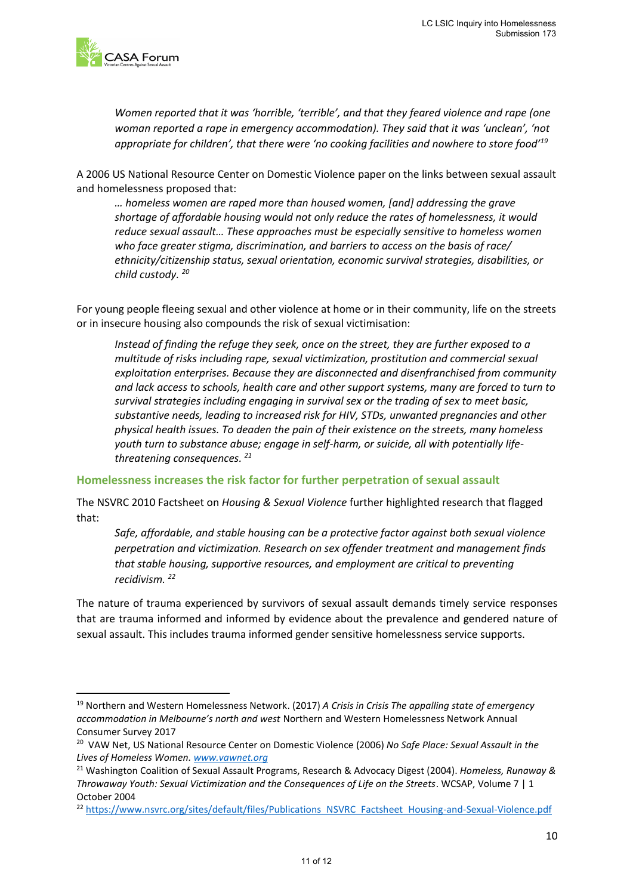

**.** 

*Women reported that it was 'horrible, 'terrible', and that they feared violence and rape (one woman reported a rape in emergency accommodation). They said that it was 'unclean', 'not appropriate for children', that there were 'no cooking facilities and nowhere to store food'<sup>19</sup>*

A 2006 US National Resource Center on Domestic Violence paper on the links between sexual assault and homelessness proposed that:

*… homeless women are raped more than housed women, [and] addressing the grave shortage of affordable housing would not only reduce the rates of homelessness, it would reduce sexual assault… These approaches must be especially sensitive to homeless women who face greater stigma, discrimination, and barriers to access on the basis of race/ ethnicity/citizenship status, sexual orientation, economic survival strategies, disabilities, or child custody. <sup>20</sup>*

For young people fleeing sexual and other violence at home or in their community, life on the streets or in insecure housing also compounds the risk of sexual victimisation:

*Instead of finding the refuge they seek, once on the street, they are further exposed to a multitude of risks including rape, sexual victimization, prostitution and commercial sexual exploitation enterprises. Because they are disconnected and disenfranchised from community and lack access to schools, health care and other support systems, many are forced to turn to survival strategies including engaging in survival sex or the trading of sex to meet basic, substantive needs, leading to increased risk for HIV, STDs, unwanted pregnancies and other physical health issues. To deaden the pain of their existence on the streets, many homeless youth turn to substance abuse; engage in self-harm, or suicide, all with potentially lifethreatening consequences. 21*

#### <span id="page-10-0"></span>**Homelessness increases the risk factor for further perpetration of sexual assault**

The NSVRC 2010 Factsheet on *Housing & Sexual Violence* further highlighted research that flagged that:

*Safe, affordable, and stable housing can be a protective factor against both sexual violence perpetration and victimization. Research on sex offender treatment and management finds that stable housing, supportive resources, and employment are critical to preventing recidivism. <sup>22</sup>*

The nature of trauma experienced by survivors of sexual assault demands timely service responses that are trauma informed and informed by evidence about the prevalence and gendered nature of sexual assault. This includes trauma informed gender sensitive homelessness service supports.

<sup>19</sup> Northern and Western Homelessness Network. (2017) *A Crisis in Crisis The appalling state of emergency accommodation in Melbourne's north and west* Northern and Western Homelessness Network Annual Consumer Survey 2017

<sup>20</sup> VAW Net, US National Resource Center on Domestic Violence (2006) *No Safe Place: Sexual Assault in the Lives of Homeless Women. [www.vawnet.org](http://www.vawnet.org/)*

<sup>21</sup> Washington Coalition of Sexual Assault Programs, Research & Advocacy Digest (2004). *Homeless, Runaway & Throwaway Youth: Sexual Victimization and the Consequences of Life on the Streets*. WCSAP, Volume 7 | 1 October 2004

<sup>22</sup> [https://www.nsvrc.org/sites/default/files/Publications NSVRC Factsheet Housing-and-Sexual-Violence.pdf](https://www.nsvrc.org/sites/default/files/Publications_NSVRC_Factsheet_Housing-and-Sexual-Violence.pdf)